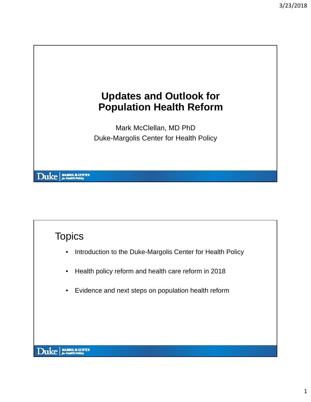

## **Topics**

- Introduction to the Duke-Margolis Center for Health Policy
- Health policy reform and health care reform in 2018
- Evidence and next steps on population health reform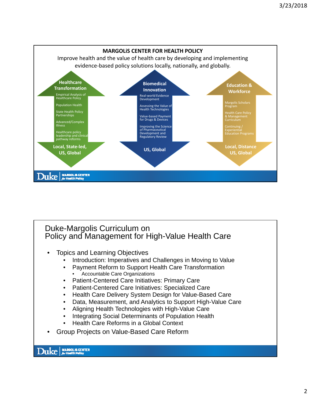

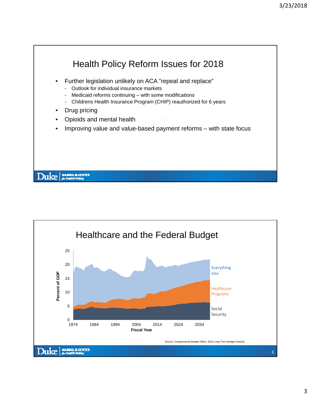

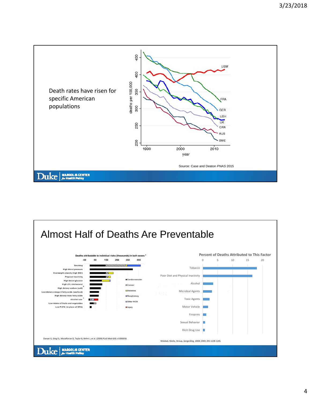

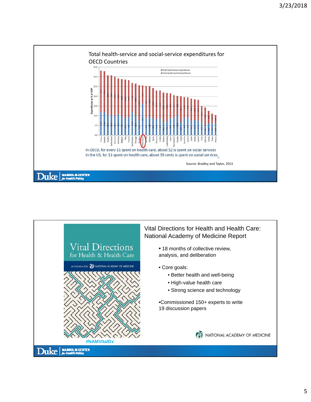

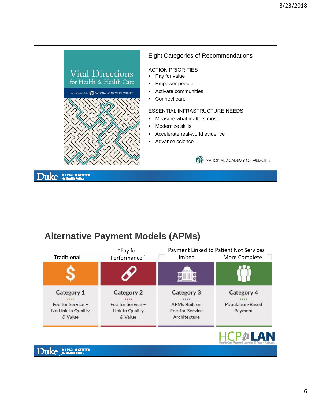

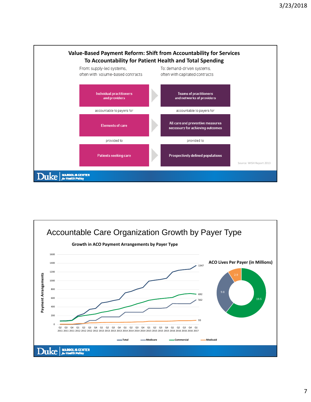

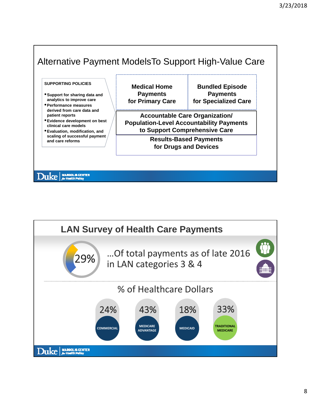

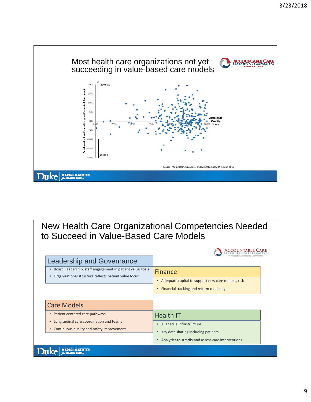

New Health Care Organizational Competencies Needed to Succeed in Value-Based Care Models

| <b>Leadership and Governance</b>                                                                                                 |                                                                |
|----------------------------------------------------------------------------------------------------------------------------------|----------------------------------------------------------------|
| Board, leadership, staff engagement in patient value goals<br>$\bullet$<br>Organizational structure reflects patient value focus | <b>Finance</b>                                                 |
|                                                                                                                                  | Adequate capital to support new care models, risk<br>$\bullet$ |
|                                                                                                                                  | Financial tracking and reform modeling<br>$\bullet$            |
|                                                                                                                                  |                                                                |
| <b>Care Models</b>                                                                                                               |                                                                |
| Patient centered care pathways<br>$\bullet$                                                                                      | <b>Health IT</b>                                               |
| Longitudinal care coordination and teams<br>$\bullet$<br>Continuous quality and safety improvement                               | Aligned IT infrastructure                                      |
|                                                                                                                                  | Key data sharing including patients                            |
|                                                                                                                                  | Analytics to stratify and assess care interventions            |
|                                                                                                                                  |                                                                |